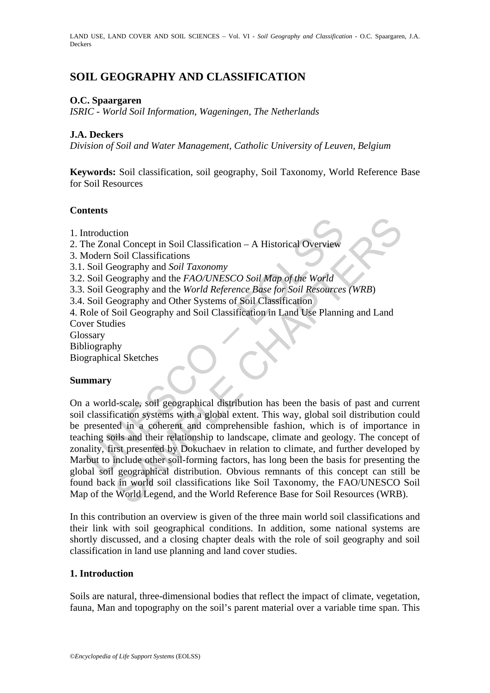LAND USE, LAND COVER AND SOIL SCIENCES – Vol. VI - *Soil Geography and Classification* - O.C. Spaargaren, J.A. Deckers

# **SOIL GEOGRAPHY AND CLASSIFICATION**

### **O.C. Spaargaren**

*ISRIC - World Soil Information, Wageningen, The Netherlands* 

### **J.A. Deckers**

*Division of Soil and Water Management, Catholic University of Leuven, Belgium*

**Keywords:** Soil classification, soil geography, Soil Taxonomy, World Reference Base for Soil Resources

### **Contents**

1. Introduction

- 2. The Zonal Concept in Soil Classification A Historical Overview
- 3. Modern Soil Classifications
- 3.1. Soil Geography and *Soil Taxonomy*
- 3.2. Soil Geography and the *FAO/UNESCO Soil Map of the World*
- 3.3. Soil Geography and the *World Reference Base for Soil Resources (WRB*)
- 3.4. Soil Geography and Other Systems of Soil Classification
- 4. Role of Soil Geography and Soil Classification in Land Use Planning and Land Cover Studies
- Glossary
- Bibliography
- Biographical Sketches

#### **Summary**

ntroduction<br>
he Zonal Concept in Soil Classification – A Historical Overview<br>
flodern Soil Classifications<br>
Soil Geography and Soil Taxonomy<br>
Soil Geography and the *FAO/UNESCO Soil Map of the World*<br>
Soil Geography and th tion<br>
al Concept in Soil Classification – A Historical Overview<br>
Soil Classifications<br>
eography and the *FAO/UNESCO Soil Map of the World*<br>
eography and the *FAO/UNESCO Soil Map of the World*<br>
eography and the *FAO/UNESCO* On a world-scale, soil geographical distribution has been the basis of past and current soil classification systems with a global extent. This way, global soil distribution could be presented in a coherent and comprehensible fashion, which is of importance in teaching soils and their relationship to landscape, climate and geology. The concept of zonality, first presented by Dokuchaev in relation to climate, and further developed by Marbut to include other soil-forming factors, has long been the basis for presenting the global soil geographical distribution. Obvious remnants of this concept can still be found back in world soil classifications like Soil Taxonomy, the FAO/UNESCO Soil Map of the World Legend, and the World Reference Base for Soil Resources (WRB).

In this contribution an overview is given of the three main world soil classifications and their link with soil geographical conditions. In addition, some national systems are shortly discussed, and a closing chapter deals with the role of soil geography and soil classification in land use planning and land cover studies.

#### **1. Introduction**

Soils are natural, three-dimensional bodies that reflect the impact of climate, vegetation, fauna, Man and topography on the soil's parent material over a variable time span. This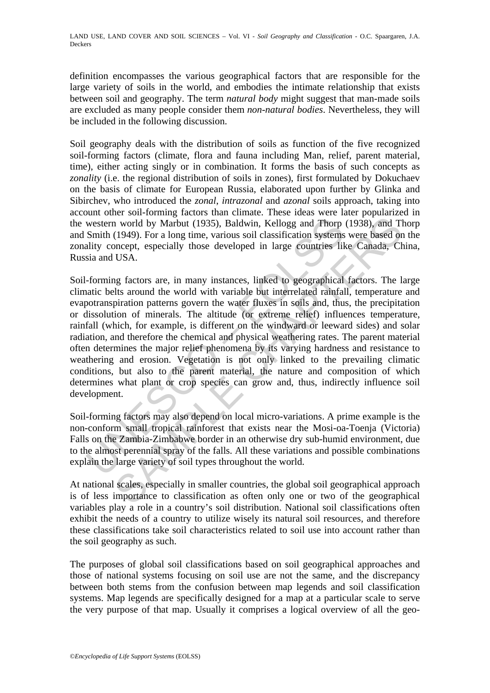definition encompasses the various geographical factors that are responsible for the large variety of soils in the world, and embodies the intimate relationship that exists between soil and geography. The term *natural body* might suggest that man-made soils are excluded as many people consider them *non-natural bodies*. Nevertheless, they will be included in the following discussion.

Soil geography deals with the distribution of soils as function of the five recognized soil-forming factors (climate, flora and fauna including Man, relief, parent material, time), either acting singly or in combination. It forms the basis of such concepts as *zonality* (i.e. the regional distribution of soils in zones), first formulated by Dokuchaev on the basis of climate for European Russia, elaborated upon further by Glinka and Sibirchev, who introduced the *zonal*, *intrazonal* and *azonal* soils approach, taking into account other soil-forming factors than climate. These ideas were later popularized in the western world by Marbut (1935), Baldwin, Kellogg and Thorp (1938), and Thorp and Smith (1949). For a long time, various soil classification systems were based on the zonality concept, especially those developed in large countries like Canada, China, Russia and USA.

western world by Marbut (1935), Baldwin, Kellogg and Thorp Smith (1949). For a long time, various soil classification systems ality concept, especially those developed in large countries like is and USA.<br>
-forming factors in world by Marbut (1935), Baldwin, Kellogg and Thorp (1938), and T1<br>(1949). For a long time, various soil classification systems were based or<br>(1949). For a long time, various soil classification systems were based or<br>DIS Soil-forming factors are, in many instances, linked to geographical factors. The large climatic belts around the world with variable but interrelated rainfall, temperature and evapotranspiration patterns govern the water fluxes in soils and, thus, the precipitation or dissolution of minerals. The altitude (or extreme relief) influences temperature, rainfall (which, for example, is different on the windward or leeward sides) and solar radiation, and therefore the chemical and physical weathering rates. The parent material often determines the major relief phenomena by its varying hardness and resistance to weathering and erosion. Vegetation is not only linked to the prevailing climatic conditions, but also to the parent material, the nature and composition of which determines what plant or crop species can grow and, thus, indirectly influence soil development.

Soil-forming factors may also depend on local micro-variations. A prime example is the non-conform small tropical rainforest that exists near the Mosi-oa-Toenja (Victoria) Falls on the Zambia-Zimbabwe border in an otherwise dry sub-humid environment, due to the almost perennial spray of the falls. All these variations and possible combinations explain the large variety of soil types throughout the world.

At national scales, especially in smaller countries, the global soil geographical approach is of less importance to classification as often only one or two of the geographical variables play a role in a country's soil distribution. National soil classifications often exhibit the needs of a country to utilize wisely its natural soil resources, and therefore these classifications take soil characteristics related to soil use into account rather than the soil geography as such.

The purposes of global soil classifications based on soil geographical approaches and those of national systems focusing on soil use are not the same, and the discrepancy between both stems from the confusion between map legends and soil classification systems. Map legends are specifically designed for a map at a particular scale to serve the very purpose of that map. Usually it comprises a logical overview of all the geo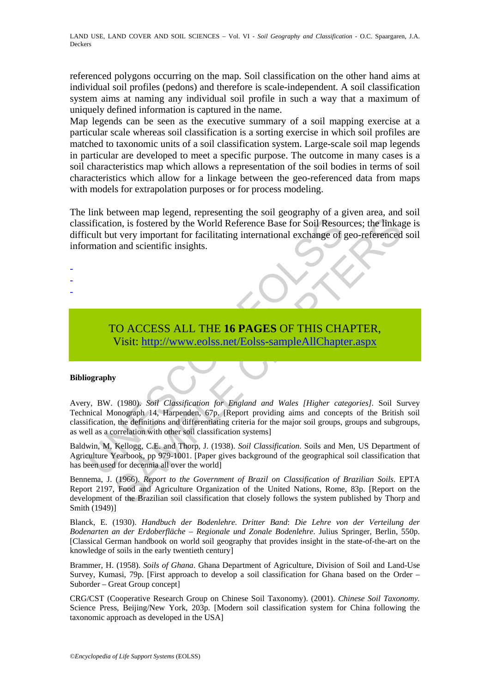referenced polygons occurring on the map. Soil classification on the other hand aims at individual soil profiles (pedons) and therefore is scale-independent. A soil classification system aims at naming any individual soil profile in such a way that a maximum of uniquely defined information is captured in the name.

Map legends can be seen as the executive summary of a soil mapping exercise at a particular scale whereas soil classification is a sorting exercise in which soil profiles are matched to taxonomic units of a soil classification system. Large-scale soil map legends in particular are developed to meet a specific purpose. The outcome in many cases is a soil characteristics map which allows a representation of the soil bodies in terms of soil characteristics which allow for a linkage between the geo-referenced data from maps with models for extrapolation purposes or for process modeling.

The link between map legend, representing the soil geography of a given area, and soil classification, is fostered by the World Reference Base for Soil Resources; the linkage is difficult but very important for facilitating international exchange of geo-referenced soil information and scientific insights.

- -
- -
- -

## TO ACCESS ALL THE **16 PAGES** OF THIS CHAPTER, Visit: http://www.eolss.net/Eolss-sampleAllChapter.aspx

#### **Bibliography**

sification, is fostered by the World Reference Base for Soil Resourcult but very important for facilitating international exchange of gradient but very important for facilitating international exchange of gradient mation a on, is fostered by the World Reference Base for Soil Resources; the linkage of the World Reference Base for Soil Resources; the linkage of geo-referenced and scientific insights.<br>
The very important for facilitating intern Avery, BW. (1980). *Soil Classification for England and Wales [Higher categories].* Soil Survey Technical Monograph 14, Harpenden, 67p. [Report providing aims and concepts of the British soil classification, the definitions and differentiating criteria for the major soil groups, groups and subgroups, as well as a correlation with other soil classification systems]

Baldwin, M, Kellogg, C.E. and Thorp, J. (1938). *Soil Classification*. Soils and Men, US Department of Agriculture Yearbook, pp 979-1001. [Paper gives background of the geographical soil classification that has been used for decennia all over the world]

Bennema, J. (1966). *Report to the Government of Brazil on Classification of Brazilian Soils*. EPTA Report 2197, Food and Agriculture Organization of the United Nations, Rome, 83p. [Report on the development of the Brazilian soil classification that closely follows the system published by Thorp and Smith (1949)]

Blanck, E. (1930). *Handbuch der Bodenlehre. Dritter Band*: *Die Lehre von der Verteilung der Bodenarten an der Erdoberfläche – Regionale und Zonale Bodenlehre*. Julius Springer, Berlin, 550p. [Classical German handbook on world soil geography that provides insight in the state-of-the-art on the knowledge of soils in the early twentieth century]

Brammer, H. (1958). *Soils of Ghana*. Ghana Department of Agriculture, Division of Soil and Land-Use Survey, Kumasi, 79p. [First approach to develop a soil classification for Ghana based on the Order – Suborder – Great Group concept]

CRG/CST (Cooperative Research Group on Chinese Soil Taxonomy). (2001). *Chinese Soil Taxonomy.* Science Press, Beijing/New York, 203p. [Modern soil classification system for China following the taxonomic approach as developed in the USA]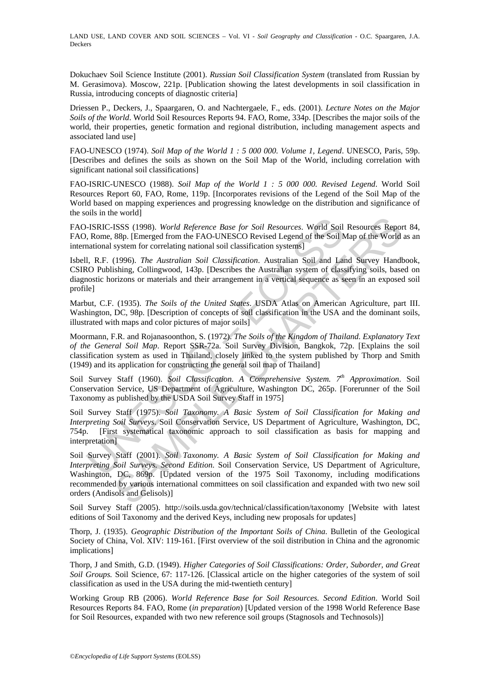LAND USE, LAND COVER AND SOIL SCIENCES – Vol. VI - *Soil Geography and Classification* - O.C. Spaargaren, J.A. Deckers

Dokuchaev Soil Science Institute (2001). *Russian Soil Classification System* (translated from Russian by M. Gerasimova). Moscow, 221p. [Publication showing the latest developments in soil classification in Russia, introducing concepts of diagnostic criteria]

Driessen P., Deckers, J., Spaargaren, O. and Nachtergaele, F., eds. (2001). *Lecture Notes on the Major Soils of the World*. World Soil Resources Reports 94. FAO, Rome, 334p. [Describes the major soils of the world, their properties, genetic formation and regional distribution, including management aspects and associated land use]

FAO-UNESCO (1974). *Soil Map of the World 1 : 5 000 000. Volume 1, Legend*. UNESCO, Paris, 59p. [Describes and defines the soils as shown on the Soil Map of the World, including correlation with significant national soil classifications]

FAO-ISRIC-UNESCO (1988). *Soil Map of the World 1 : 5 000 000. Revised Legend*. World Soil Resources Report 60, FAO, Rome, 119p. [Incorporates revisions of the Legend of the Soil Map of the World based on mapping experiences and progressing knowledge on the distribution and significance of the soils in the world]

FAO-ISRIC-ISSS (1998). *World Reference Base for Soil Resources*. World Soil Resources Report 84, FAO, Rome, 88p. [Emerged from the FAO-UNESCO Revised Legend of the Soil Map of the World as an international system for correlating national soil classification systems]

Isbell, R.F. (1996). *The Australian Soil Classification*. Australian Soil and Land Survey Handbook, CSIRO Publishing, Collingwood, 143p. [Describes the Australian system of classifying soils, based on diagnostic horizons or materials and their arrangement in a vertical sequence as seen in an exposed soil profile]

Marbut, C.F. (1935). *The Soils of the United States*. USDA Atlas on American Agriculture, part III. Washington, DC, 98p. [Description of concepts of soil classification in the USA and the dominant soils, illustrated with maps and color pictures of major soils]

Moormann, F.R. and Rojanasoonthon, S. (1972). *The Soils of the Kingdom of Thailand*. *Explanatory Text of the General Soil Map*. Report SSR-72a. Soil Survey Division, Bangkok, 72p. [Explains the soil classification system as used in Thailand, closely linked to the system published by Thorp and Smith (1949) and its application for constructing the general soil map of Thailand]

Soil Survey Staff (1960). *Soil Classification. A Comprehensive System.* 7<sup>th</sup> Approximation. Soil Conservation Service, US Department of Agriculture, Washington DC, 265p. [Forerunner of the Soil Taxonomy as published by the USDA Soil Survey Staff in 1975]

**I-ISRIC-ISSS** (1998). *World Reference Base for Soil Resources*. World Soil, Rome, 88p. [Emerged from the FAO-UNESCO Revised Legend of the Soil N, Rome, 88p. [Emerged from the FAO-UNESCO Revised Legend of the Soil N, R.F Soil Survey Staff (1975). *Soil Taxonomy. A Basic System of Soil Classification for Making and Interpreting Soil Surveys*. Soil Conservation Service, US Department of Agriculture, Washington, DC, 754p. [First systematical taxonomic approach to soil classification as basis for mapping and interpretation]

**ESSS** (1998). *World Reference Base for Soil Resources*. World Soil Resources Repo<br>
SSP, [Emerged from the FAO-UNESCO Revised Legend of the Soil Map of the World<br>
system for correlating national soil classification syste Soil Survey Staff (2001). *Soil Taxonomy. A Basic System of Soil Classification for Making and Interpreting Soil Surveys. Second Edition*. Soil Conservation Service, US Department of Agriculture, Washington, DC, 869p. [Updated version of the 1975 Soil Taxonomy, including modifications recommended by various international committees on soil classification and expanded with two new soil orders (Andisols and Gelisols)]

Soil Survey Staff (2005). http://soils.usda.gov/technical/classification/taxonomy [Website with latest editions of Soil Taxonomy and the derived Keys, including new proposals for updates]

Thorp, J. (1935). *Geographic Distribution of the Important Soils of China*. Bulletin of the Geological Society of China, Vol. XIV: 119-161. [First overview of the soil distribution in China and the agronomic implications]

Thorp, J and Smith, G.D. (1949). *Higher Categories of Soil Classifications: Order, Suborder, and Great Soil Groups.* Soil Science, 67: 117-126. [Classical article on the higher categories of the system of soil classification as used in the USA during the mid-twentieth century]

Working Group RB (2006). *World Reference Base for Soil Resources. Second Edition*. World Soil Resources Reports 84. FAO, Rome (*in preparation*) [Updated version of the 1998 World Reference Base for Soil Resources, expanded with two new reference soil groups (Stagnosols and Technosols)]